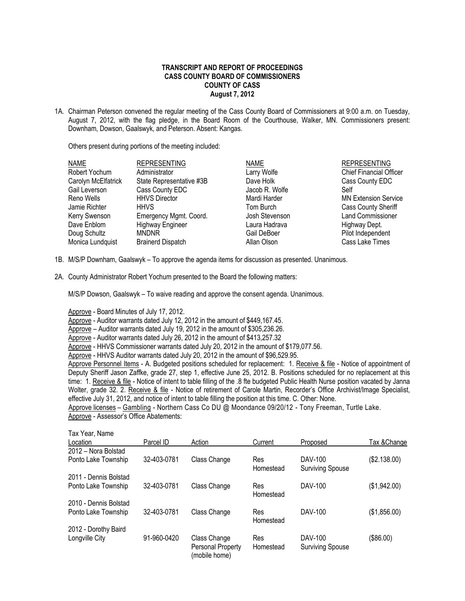## **TRANSCRIPT AND REPORT OF PROCEEDINGS CASS COUNTY BOARD OF COMMISSIONERS COUNTY OF CASS August 7, 2012**

1A. Chairman Peterson convened the regular meeting of the Cass County Board of Commissioners at 9:00 a.m. on Tuesday, August 7, 2012, with the flag pledge, in the Board Room of the Courthouse, Walker, MN. Commissioners present: Downham, Dowson, Gaalswyk, and Peterson. Absent: Kangas.

Others present during portions of the meeting included:

| <b>NAME</b>         | <b>REPRESENTING</b>      | <b>NAME</b>    | <b>REPRESENTING</b>            |
|---------------------|--------------------------|----------------|--------------------------------|
| Robert Yochum       | Administrator            | Larry Wolfe    | <b>Chief Financial Officer</b> |
| Carolyn McElfatrick | State Representative #3B | Dave Holk      | Cass County EDC                |
| Gail Leverson       | Cass County EDC          | Jacob R. Wolfe | Self                           |
| Reno Wells          | <b>HHVS Director</b>     | Mardi Harder   | <b>MN Extension Service</b>    |
| Jamie Richter       | <b>HHVS</b>              | Tom Burch      | <b>Cass County Sheriff</b>     |
| Kerry Swenson       | Emergency Mgmt. Coord.   | Josh Stevenson | <b>Land Commissioner</b>       |
| Dave Enblom         | <b>Highway Engineer</b>  | Laura Hadrava  | Highway Dept.                  |
| Doug Schultz        | <b>MNDNR</b>             | Gail DeBoer    | Pilot Independent              |
| Monica Lundquist    | <b>Brainerd Dispatch</b> | Allan Olson    | Cass Lake Times                |

- 1B. M/S/P Downham, Gaalswyk To approve the agenda items for discussion as presented. Unanimous.
- 2A. County Administrator Robert Yochum presented to the Board the following matters:

M/S/P Dowson, Gaalswyk – To waive reading and approve the consent agenda. Unanimous.

Approve - Board Minutes of July 17, 2012.

Approve - Auditor warrants dated July 12, 2012 in the amount of \$449,167.45.

Approve – Auditor warrants dated July 19, 2012 in the amount of \$305,236.26.

Approve - Auditor warrants dated July 26, 2012 in the amount of \$413,257.32

Approve - HHVS Commissioner warrants dated July 20, 2012 in the amount of \$179,077.56.

Approve - HHVS Auditor warrants dated July 20, 2012 in the amount of \$96,529.95.

Approve Personnel Items - A. Budgeted positions scheduled for replacement: 1. Receive & file - Notice of appointment of Deputy Sheriff Jason Zaffke, grade 27, step 1, effective June 25, 2012. B. Positions scheduled for no replacement at this time: 1. Receive & file - Notice of intent to table filling of the .8 fte budgeted Public Health Nurse position vacated by Janna Wolter, grade 32. 2. Receive & file - Notice of retirement of Carole Martin, Recorder's Office Archivist/Image Specialist, effective July 31, 2012, and notice of intent to table filling the position at this time. C. Other: None.

 Approve licenses – Gambling - Northern Cass Co DU @ Moondance 09/20/12 - Tony Freeman, Turtle Lake. Approve - Assessor's Office Abatements:

| Tax Year, Name        |             |                                                    |                  |                                    |              |
|-----------------------|-------------|----------------------------------------------------|------------------|------------------------------------|--------------|
| Location              | Parcel ID   | Action                                             | Current          | Proposed                           | Tax & Change |
| 2012 - Nora Bolstad   |             |                                                    |                  |                                    |              |
| Ponto Lake Township   | 32-403-0781 | Class Change                                       | Res<br>Homestead | DAV-100<br><b>Surviving Spouse</b> | (\$2.138.00) |
| 2011 - Dennis Bolstad |             |                                                    |                  |                                    |              |
| Ponto Lake Township   | 32-403-0781 | Class Change                                       | Res<br>Homestead | DAV-100                            | (\$1,942.00) |
| 2010 - Dennis Bolstad |             |                                                    |                  |                                    |              |
| Ponto Lake Township   | 32-403-0781 | Class Change                                       | Res<br>Homestead | DAV-100                            | (\$1,856.00) |
| 2012 - Dorothy Baird  |             |                                                    |                  |                                    |              |
| Longville City        | 91-960-0420 | Class Change<br>Personal Property<br>(mobile home) | Res<br>Homestead | DAV-100<br><b>Surviving Spouse</b> | (\$86.00)    |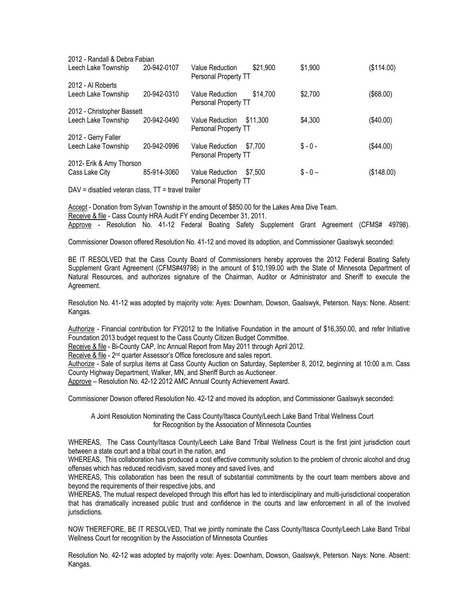| 2012 - Randall & Debra Fabian |             |                                                            |          |            |
|-------------------------------|-------------|------------------------------------------------------------|----------|------------|
| Leech Lake Township           | 20-942-0107 | \$21,900<br><b>Value Reduction</b><br>Personal Property TT | \$1,900  | (\$114.00) |
| 2012 - Al Roberts             |             |                                                            |          |            |
| Leech Lake Township           | 20-942-0310 | \$14,700<br>Value Reduction<br>Personal Property TT        | \$2,700  | (\$68.00)  |
| 2012 - Christopher Bassett    |             |                                                            |          |            |
| Leech Lake Township           | 20-942-0490 | <b>Value Reduction</b><br>\$11.300<br>Personal Property TT | \$4,300  | (\$40.00)  |
| 2012 - Gerry Faller           |             |                                                            |          |            |
| Leech Lake Township           | 20-942-0996 | \$7.700<br><b>Value Reduction</b><br>Personal Property TT  | $$ -0 -$ | (\$44.00)  |
| 2012- Erik & Amy Thorson      |             |                                                            |          |            |
| Cass Lake City                | 85-914-3060 | <b>Value Reduction</b><br>\$7.500<br>Personal Property TT  | $$ -0 -$ | (\$148.00) |
|                               |             |                                                            |          |            |

 $DAV =$  disabled veteran class,  $TT =$  travel trailer

Accept - Donation from Sylvan Township in the amount of \$850.00 for the Lakes Area Dive Team. Receive & file - Cass County HRA Audit FY ending December 31, 2011. Approve - Resolution No. 41-12 Federal Boating Safety Supplement Grant Agreement (CFMS# 49798).

Commissioner Dowson offered Resolution No. 41-12 and moved its adoption, and Commissioner Gaalswyk seconded:

BE IT RESOLVED that the Cass County Board of Commissioners hereby approves the 2012 Federal Boating Safety Supplement Grant Agreement (CFMS#49798) in the amount of \$10,199.00 with the State of Minnesota Department of Natural Resources, and authorizes signature of the Chairman, Auditor or Administrator and Sheriff to execute the Agreement.

Resolution No. 41-12 was adopted by majority vote: Ayes: Downham, Dowson, Gaalswyk, Peterson. Nays: None. Absent: Kangas.

Authorize - Financial contribution for FY2012 to the Initiative Foundation in the amount of \$16,350.00, and refer Initiative Foundation 2013 budget request to the Cass County Citizen Budget Committee.

Receive & file - Bi-County CAP, Inc Annual Report from May 2011 through April 2012.

Receive & file - 2<sup>nd</sup> quarter Assessor's Office foreclosure and sales report.

Authorize - Sale of surplus items at Cass County Auction on Saturday, September 8, 2012, beginning at 10:00 a.m. Cass County Highway Department, Walker, MN, and Sheriff Burch as Auctioneer.

Approve – Resolution No. 42-12 2012 AMC Annual County Achievement Award.

Commissioner Dowson offered Resolution No. 42-12 and moved its adoption, and Commissioner Gaalswyk seconded:

A Joint Resolution Nominating the Cass County/Itasca County/Leech Lake Band Tribal Wellness Court for Recognition by the Association of Minnesota Counties

WHEREAS, The Cass County/Itasca County/Leech Lake Band Tribal Wellness Court is the first joint jurisdiction court between a state court and a tribal court in the nation, and

WHEREAS, This collaboration has produced a cost effective community solution to the problem of chronic alcohol and drug offenses which has reduced recidivism, saved money and saved lives, and

WHEREAS, This collaboration has been the result of substantial commitments by the court team members above and beyond the requirements of their respective jobs, and

WHEREAS, The mutual respect developed through this effort has led to interdisciplinary and multi-jurisdictional cooperation that has dramatically increased public trust and confidence in the courts and law enforcement in all of the involved jurisdictions.

NOW THEREFORE, BE IT RESOLVED, That we jointly nominate the Cass County/Itasca County/Leech Lake Band Tribal Wellness Court for recognition by the Association of Minnesota Counties

Resolution No. 42-12 was adopted by majority vote: Ayes: Downham, Dowson, Gaalswyk, Peterson. Nays: None. Absent: Kangas.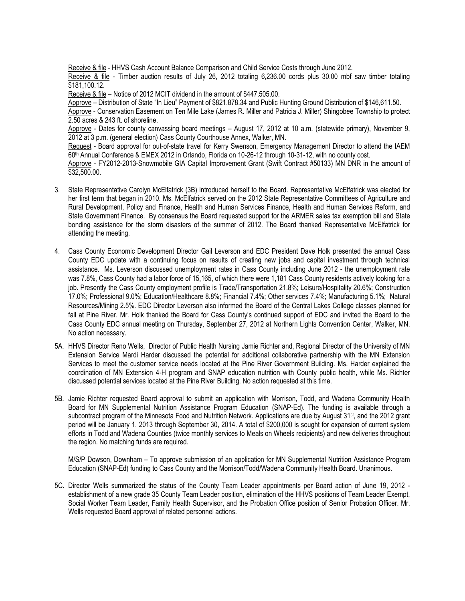Receive & file - HHVS Cash Account Balance Comparison and Child Service Costs through June 2012.

Receive & file - Timber auction results of July 26, 2012 totaling 6,236.00 cords plus 30.00 mbf saw timber totaling \$181,100.12.

Receive & file – Notice of 2012 MCIT dividend in the amount of \$447,505.00.

Approve – Distribution of State "In Lieu" Payment of \$821.878.34 and Public Hunting Ground Distribution of \$146,611.50.

Approve - Conservation Easement on Ten Mile Lake (James R. Miller and Patricia J. Miller) Shingobee Township to protect 2.50 acres & 243 ft. of shoreline.

Approve - Dates for county canvassing board meetings – August 17, 2012 at 10 a.m. (statewide primary), November 9, 2012 at 3 p.m. (general election) Cass County Courthouse Annex, Walker, MN.

Request - Board approval for out-of-state travel for Kerry Swenson, Emergency Management Director to attend the IAEM 60<sup>th</sup> Annual Conference & EMEX 2012 in Orlando, Florida on 10-26-12 through 10-31-12, with no county cost.

Approve - FY2012-2013-Snowmobile GIA Capital Improvement Grant (Swift Contract #50133) MN DNR in the amount of \$32,500.00.

- 3. State Representative Carolyn McElfatrick (3B) introduced herself to the Board. Representative McElfatrick was elected for her first term that began in 2010. Ms. McElfatrick served on the 2012 State Representative Committees of [Agriculture and](http://www.house.leg.state.mn.us/comm/committee.asp?comm=87001) Rural [Development, Policy](http://www.house.leg.state.mn.us/comm/committee.asp?comm=87001) and Finance, [Health and](http://www.house.leg.state.mn.us/comm/committee.asp?comm=87010) Human Services Finance, [Health and](http://www.house.leg.state.mn.us/comm/committee.asp?comm=87011) Human Services Reform, and [State Government Finance.](http://www.house.leg.state.mn.us/comm/committee.asp?comm=87018) By consensus the Board requested support for the ARMER sales tax exemption bill and State bonding assistance for the storm disasters of the summer of 2012. The Board thanked Representative McElfatrick for attending the meeting.
- 4. Cass County Economic Development Director Gail Leverson and EDC President Dave Holk presented the annual Cass County EDC update with a continuing focus on results of creating new jobs and capital investment through technical assistance. Ms. Leverson discussed unemployment rates in Cass County including June 2012 - the unemployment rate was 7.8%, Cass County had a labor force of 15,165, of which there were 1,181 Cass County residents actively looking for a job. Presently the Cass County employment profile is Trade/Transportation 21.8%; Leisure/Hospitality 20.6%; Construction 17.0%; Professional 9.0%; Education/Healthcare 8.8%; Financial 7.4%; Other services 7.4%; Manufacturing 5.1%; Natural Resources/Mining 2.5%. EDC Director Leverson also informed the Board of the Central Lakes College classes planned for fall at Pine River. Mr. Holk thanked the Board for Cass County's continued support of EDC and invited the Board to the Cass County EDC annual meeting on Thursday, September 27, 2012 at Northern Lights Convention Center, Walker, MN. No action necessary.
- 5A. HHVS Director Reno Wells, Director of Public Health Nursing Jamie Richter and, Regional Director of the University of MN Extension Service Mardi Harder discussed the potential for additional collaborative partnership with the MN Extension Services to meet the customer service needs located at the Pine River Government Building. Ms. Harder explained the coordination of MN Extension 4-H program and SNAP education nutrition with County public health, while Ms. Richter discussed potential services located at the Pine River Building. No action requested at this time.
- 5B. Jamie Richter requested Board approval to submit an application with Morrison, Todd, and Wadena Community Health Board for MN Supplemental Nutrition Assistance Program Education (SNAP-Ed). The funding is available through a subcontract program of the Minnesota Food and Nutrition Network. Applications are due by August 31<sup>st</sup>, and the 2012 grant period will be January 1, 2013 through September 30, 2014. A total of \$200,000 is sought for expansion of current system efforts in Todd and Wadena Counties (twice monthly services to Meals on Wheels recipients) and new deliveries throughout the region. No matching funds are required.

M/S/P Dowson, Downham – To approve submission of an application for MN Supplemental Nutrition Assistance Program Education (SNAP-Ed) funding to Cass County and the Morrison/Todd/Wadena Community Health Board. Unanimous.

5C. Director Wells summarized the status of the County Team Leader appointments per Board action of June 19, 2012 establishment of a new grade 35 County Team Leader position, elimination of the HHVS positions of Team Leader Exempt, Social Worker Team Leader, Family Health Supervisor, and the Probation Office position of Senior Probation Officer. Mr. Wells requested Board approval of related personnel actions.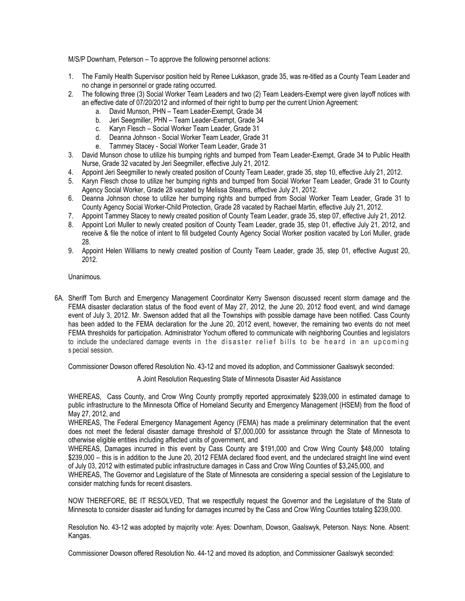M/S/P Downham, Peterson – To approve the following personnel actions:

- 1. The Family Health Supervisor position held by Renee Lukkason, grade 35, was re-titled as a County Team Leader and no change in personnel or grade rating occurred.
- 2. The following three (3) Social Worker Team Leaders and two (2) Team Leaders-Exempt were given layoff notices with an effective date of 07/20/2012 and informed of their right to bump per the current Union Agreement:
	- a. David Munson, PHN Team Leader-Exempt, Grade 34
	- b. Jeri Seegmiller, PHN Team Leader-Exempt, Grade 34
	- c. Karyn Flesch Social Worker Team Leader, Grade 31
	- d. Deanna Johnson Social Worker Team Leader, Grade 31
	- e. Tammey Stacey Social Worker Team Leader, Grade 31
- 3. David Munson chose to utilize his bumping rights and bumped from Team Leader-Exempt, Grade 34 to Public Health Nurse, Grade 32 vacated by Jeri Seegmiller, effective July 21, 2012.
- 4. Appoint Jeri Seegmiller to newly created position of County Team Leader, grade 35, step 10, effective July 21, 2012.
- 5. Karyn Flesch chose to utilize her bumping rights and bumped from Social Worker Team Leader, Grade 31 to County Agency Social Worker, Grade 28 vacated by Melissa Stearns, effective July 21, 2012.
- 6. Deanna Johnson chose to utilize her bumping rights and bumped from Social Worker Team Leader, Grade 31 to County Agency Social Worker-Child Protection, Grade 28 vacated by Rachael Martin, effective July 21, 2012.
- 7. Appoint Tammey Stacey to newly created position of County Team Leader, grade 35, step 07, effective July 21, 2012.
- 8. Appoint Lori Muller to newly created position of County Team Leader, grade 35, step 01, effective July 21, 2012, and receive & file the notice of intent to fill budgeted County Agency Social Worker position vacated by Lori Muller, grade 28.
- 9. Appoint Helen Williams to newly created position of County Team Leader, grade 35, step 01, effective August 20, 2012.

Unanimous.

6A. Sheriff Tom Burch and Emergency Management Coordinator Kerry Swenson discussed recent storm damage and the FEMA disaster declaration status of the flood event of May 27, 2012, the June 20, 2012 flood event, and wind damage event of July 3, 2012. Mr. Swenson added that all the Townships with possible damage have been notified. Cass County has been added to the FEMA declaration for the June 20, 2012 event, however, the remaining two events do not meet FEMA thresholds for participation. Administrator Yochum offered to communicate with neighboring Counties and legislators to include the undeclared damage events in the disaster relief bills to be heard in an upcoming s pecial session.

Commissioner Dowson offered Resolution No. 43-12 and moved its adoption, and Commissioner Gaalswyk seconded:

A Joint Resolution Requesting State of Minnesota Disaster Aid Assistance

WHEREAS, Cass County, and Crow Wing County promptly reported approximately \$239,000 in estimated damage to public infrastructure to the Minnesota Office of Homeland Security and Emergency Management (HSEM) from the flood of May 27, 2012, and

WHEREAS, The Federal Emergency Management Agency (FEMA) has made a preliminary determination that the event does not meet the federal disaster damage threshold of \$7,000,000 for assistance through the State of Minnesota to otherwise eligible entities including affected units of government, and

WHEREAS, Damages incurred in this event by Cass County are \$191,000 and Crow Wing County \$48,000 totaling \$239,000 – this is in addition to the June 20, 2012 FEMA declared flood event, and the undeclared straight line wind event of July 03, 2012 with estimated public infrastructure damages in Cass and Crow Wing Counties of \$3,245,000, and

WHEREAS, The Governor and Legislature of the State of Minnesota are considering a special session of the Legislature to consider matching funds for recent disasters.

NOW THEREFORE, BE IT RESOLVED, That we respectfully request the Governor and the Legislature of the State of Minnesota to consider disaster aid funding for damages incurred by the Cass and Crow Wing Counties totaling \$239,000.

Resolution No. 43-12 was adopted by majority vote: Ayes: Downham, Dowson, Gaalswyk, Peterson. Nays: None. Absent: Kangas.

Commissioner Dowson offered Resolution No. 44-12 and moved its adoption, and Commissioner Gaalswyk seconded: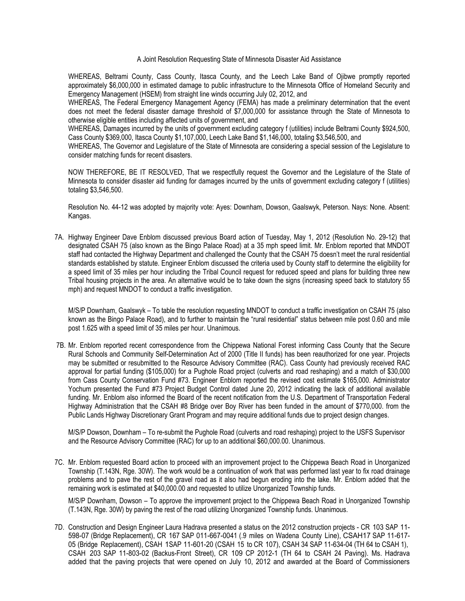A Joint Resolution Requesting State of Minnesota Disaster Aid Assistance

WHEREAS, Beltrami County, Cass County, Itasca County, and the Leech Lake Band of Ojibwe promptly reported approximately \$6,000,000 in estimated damage to public infrastructure to the Minnesota Office of Homeland Security and Emergency Management (HSEM) from straight line winds occurring July 02, 2012, and

WHEREAS, The Federal Emergency Management Agency (FEMA) has made a preliminary determination that the event does not meet the federal disaster damage threshold of \$7,000,000 for assistance through the State of Minnesota to otherwise eligible entities including affected units of government, and

WHEREAS, Damages incurred by the units of government excluding category f (utilities) include Beltrami County \$924,500, Cass County \$369,000, Itasca County \$1,107,000, Leech Lake Band \$1,146,000, totaling \$3,546,500, and

WHEREAS, The Governor and Legislature of the State of Minnesota are considering a special session of the Legislature to consider matching funds for recent disasters.

NOW THEREFORE, BE IT RESOLVED, That we respectfully request the Governor and the Legislature of the State of Minnesota to consider disaster aid funding for damages incurred by the units of government excluding category f (utilities) totaling \$3,546,500.

Resolution No. 44-12 was adopted by majority vote: Ayes: Downham, Dowson, Gaalswyk, Peterson. Nays: None. Absent: Kangas.

7A. Highway Engineer Dave Enblom discussed previous Board action of Tuesday, May 1, 2012 (Resolution No. 29-12) that designated CSAH 75 (also known as the Bingo Palace Road) at a 35 mph speed limit. Mr. Enblom reported that MNDOT staff had contacted the Highway Department and challenged the County that the CSAH 75 doesn't meet the rural residential standards established by statute. Engineer Enblom discussed the criteria used by County staff to determine the eligibility for a speed limit of 35 miles per hour including the Tribal Council request for reduced speed and plans for building three new Tribal housing projects in the area. An alternative would be to take down the signs (increasing speed back to statutory 55 mph) and request MNDOT to conduct a traffic investigation.

M/S/P Downham, Gaalswyk – To table the resolution requesting MNDOT to conduct a traffic investigation on CSAH 75 (also known as the Bingo Palace Road), and to further to maintain the "rural residential" status between mile post 0.60 and mile post 1.625 with a speed limit of 35 miles per hour. Unanimous.

7B. Mr. Enblom reported recent correspondence from the Chippewa National Forest informing Cass County that the Secure Rural Schools and Community Self-Determination Act of 2000 (Title II funds) has been reauthorized for one year. Projects may be submitted or resubmitted to the Resource Advisory Committee (RAC). Cass County had previously received RAC approval for partial funding (\$105,000) for a Pughole Road project (culverts and road reshaping) and a match of \$30,000 from Cass County Conservation Fund #73. Engineer Enblom reported the revised cost estimate \$165,000. Administrator Yochum presented the Fund #73 Project Budget Control dated June 20, 2012 indicating the lack of additional available funding. Mr. Enblom also informed the Board of the recent notification from the U.S. Department of Transportation Federal Highway Administration that the CSAH #8 Bridge over Boy River has been funded in the amount of \$770,000. from the Public Lands Highway Discretionary Grant Program and may require additional funds due to project design changes.

M/S/P Dowson, Downham – To re-submit the Pughole Road (culverts and road reshaping) project to the USFS Supervisor and the Resource Advisory Committee (RAC) for up to an additional \$60,000.00. Unanimous.

7C. Mr. Enblom requested Board action to proceed with an improvement project to the Chippewa Beach Road in Unorganized Township (T.143N, Rge. 30W). The work would be a continuation of work that was performed last year to fix road drainage problems and to pave the rest of the gravel road as it also had begun eroding into the lake. Mr. Enblom added that the remaining work is estimated at \$40,000.00 and requested to utilize Unorganized Township funds.

M/S/P Downham, Dowson – To approve the improvement project to the Chippewa Beach Road in Unorganized Township (T.143N, Rge. 30W) by paving the rest of the road utilizing Unorganized Township funds. Unanimous.

7D. Construction and Design Engineer Laura Hadrava presented a status on the 2012 construction projects - CR 103 SAP 11- 598-07 (Bridge Replacement), CR 167 SAP 011-667-0041 (.9 miles on Wadena County Line), CSAH17 SAP 11-617- 05 (Bridge Replacement), CSAH 1SAP 11-601-20 (CSAH 15 to CR 107), CSAH 34 SAP 11-634-04 (TH 64 to CSAH 1), CSAH 203 SAP 11-803-02 (Backus-Front Street), CR 109 CP 2012-1 (TH 64 to CSAH 24 Paving). Ms. Hadrava added that the paving projects that were opened on July 10, 2012 and awarded at the Board of Commissioners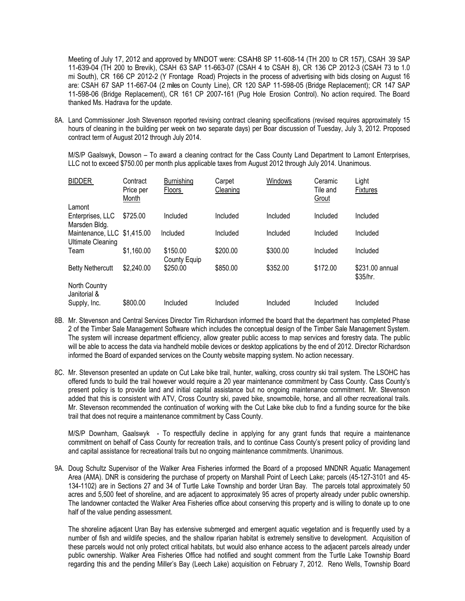Meeting of July 17, 2012 and approved by MNDOT were: CSAH8 SP 11-608-14 (TH 200 to CR 157), CSAH 39 SAP 11-639-04 (TH 200 to Brevik), CSAH 63 SAP 11-663-07 (CSAH 4 to CSAH 8), CR 136 CP 2012-3 (CSAH 73 to 1.0 mi South), CR 166 CP 2012-2 (Y Frontage Road) Projects in the process of advertising with bids closing on August 16 are: CSAH 67 SAP 11-667-04 (2 miles on County Line), CR 120 SAP 11-598-05 (Bridge Replacement); CR 147 SAP 11-598-06 (Bridge Replacement), CR 161 CP 2007-161 (Pug Hole Erosion Control). No action required. The Board thanked Ms. Hadrava for the update.

8A. Land Commissioner Josh Stevenson reported revising contract cleaning specifications (revised requires approximately 15 hours of cleaning in the building per week on two separate days) per Boar discussion of Tuesday, July 3, 2012. Proposed contract term of August 2012 through July 2014.

M/S/P Gaalswyk, Dowson – To award a cleaning contract for the Cass County Land Department to Lamont Enterprises, LLC not to exceed \$750.00 per month plus applicable taxes from August 2012 through July 2014. Unanimous.

| <b>BIDDER</b>                 | Contract<br>Price per<br>Month | <b>Burnishing</b><br>Floors | Carpet<br>Cleaning | Windows  | Ceramic<br>Tile and<br>Grout | Light<br><b>Fixtures</b>    |
|-------------------------------|--------------------------------|-----------------------------|--------------------|----------|------------------------------|-----------------------------|
| Lamont                        |                                |                             |                    |          |                              |                             |
| Enterprises, LLC              | \$725.00                       | Included                    | Included           | Included | Included                     | Included                    |
| Marsden Bldg.                 |                                |                             |                    |          |                              |                             |
| Maintenance, LLC \$1,415.00   |                                | Included                    | Included           | Included | Included                     | Included                    |
| <b>Ultimate Cleaning</b>      |                                |                             |                    |          |                              |                             |
| Team                          | \$1,160.00                     | \$150.00<br>County Equip    | \$200.00           | \$300.00 | Included                     | Included                    |
| <b>Betty Nethercutt</b>       | \$2,240.00                     | \$250.00                    | \$850.00           | \$352.00 | \$172.00                     | \$231.00 annual<br>\$35/hr. |
| North Country<br>Janitorial & |                                |                             |                    |          |                              |                             |
| Supply, Inc.                  | \$800.00                       | Included                    | Included           | Included | Included                     | Included                    |
|                               |                                |                             |                    |          |                              |                             |

- 8B. Mr. Stevenson and Central Services Director Tim Richardson informed the board that the department has completed Phase 2 of the Timber Sale Management Software which includes the conceptual design of the Timber Sale Management System. The system will increase department efficiency, allow greater public access to map services and forestry data. The public will be able to access the data via handheld mobile devices or desktop applications by the end of 2012. Director Richardson informed the Board of expanded services on the County website mapping system. No action necessary.
- 8C. Mr. Stevenson presented an update on Cut Lake bike trail, hunter, walking, cross country ski trail system. The LSOHC has offered funds to build the trail however would require a 20 year maintenance commitment by Cass County. Cass County's present policy is to provide land and initial capital assistance but no ongoing maintenance commitment. Mr. Stevenson added that this is consistent with ATV, Cross Country ski, paved bike, snowmobile, horse, and all other recreational trails. Mr. Stevenson recommended the continuation of working with the Cut Lake bike club to find a funding source for the bike trail that does not require a maintenance commitment by Cass County.

M/S/P Downham, Gaalswyk - To respectfully decline in applying for any grant funds that require a maintenance commitment on behalf of Cass County for recreation trails, and to continue Cass County's present policy of providing land and capital assistance for recreational trails but no ongoing maintenance commitments. Unanimous.

9A. Doug Schultz Supervisor of the Walker Area Fisheries informed the Board of a proposed MNDNR Aquatic Management Area (AMA). DNR is considering the purchase of property on Marshall Point of Leech Lake; parcels (45-127-3101 and 45- 134-1102) are in Sections 27 and 34 of Turtle Lake Township and border Uran Bay. The parcels total approximately 50 acres and 5,500 feet of shoreline, and are adjacent to approximately 95 acres of property already under public ownership. The landowner contacted the Walker Area Fisheries office about conserving this property and is willing to donate up to one half of the value pending assessment.

The shoreline adjacent Uran Bay has extensive submerged and emergent aquatic vegetation and is frequently used by a number of fish and wildlife species, and the shallow riparian habitat is extremely sensitive to development. Acquisition of these parcels would not only protect critical habitats, but would also enhance access to the adjacent parcels already under public ownership. Walker Area Fisheries Office had notified and sought comment from the Turtle Lake Township Board regarding this and the pending Miller's Bay (Leech Lake) acquisition on February 7, 2012. Reno Wells, Township Board